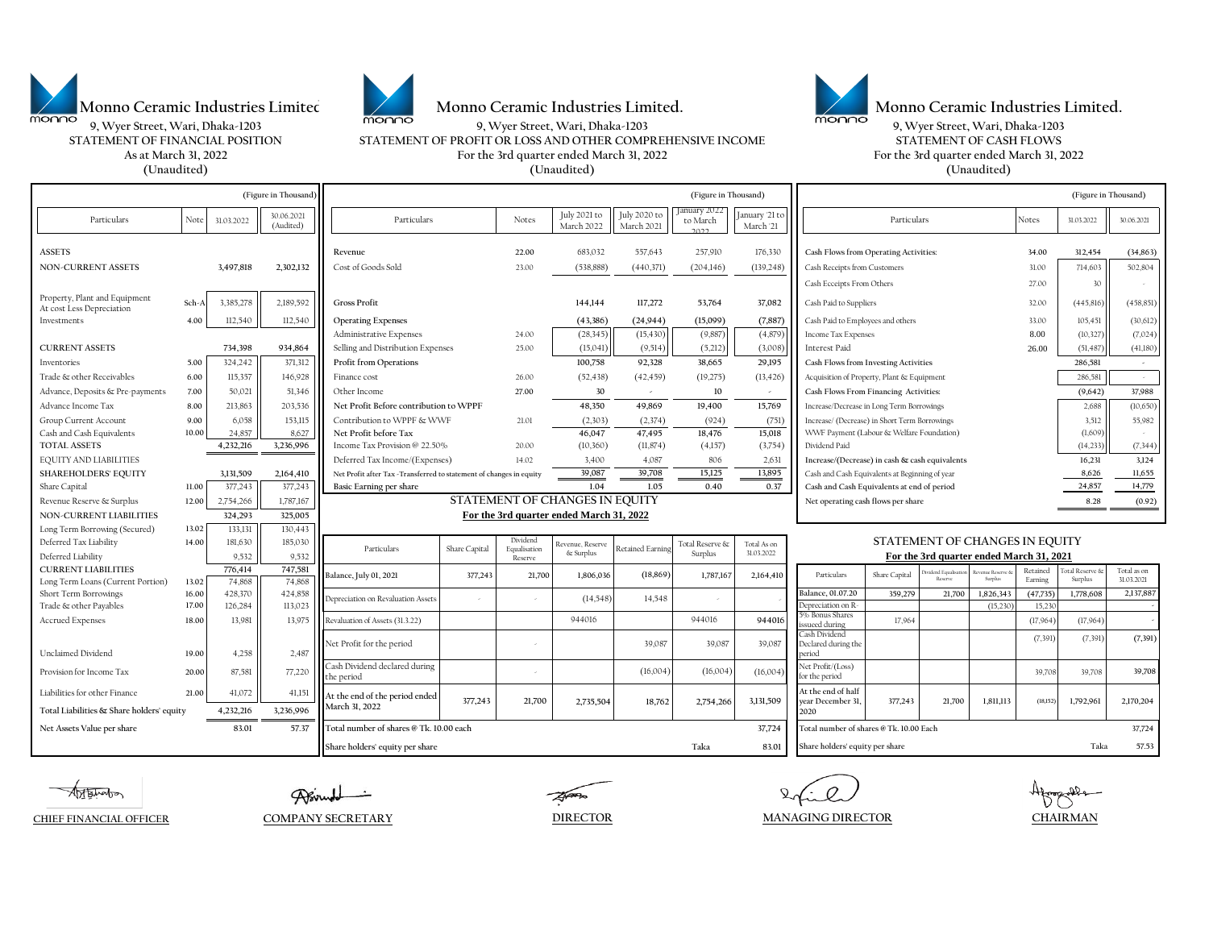





**9, Wyer Street, Wari, Dhaka-1203 9, Wyer Street, Wari, Dhaka-1203 9, Wyer Street, Wari, Dhaka-1203 As at March 31, 2022 For the 3rd quarter ended March 31, 2022 For the 3rd quarter ended March 31, 2022 (Unaudited) (Unaudited) (Unaudited) STATEMENT OF FINANCIAL POSITION STATEMENT OF PROFIT OR LOSS AND OTHER COMPREHENSIVE INCOME STATEMENT OF CASH FLOWS**

Particulars Note 31.03.2022 30.06.2021 1990 Solo (Audited) Notes July 2021 to Particulars Particulars Notes July 2021 to March 2022 March 2022 July 2020 to March 2021 January 2022 to March 2022 January '21 to March '21 Notes 31.03.2022 30.06.2021 **ASSETS Revenue 22.00** 683,032 557,643 257,910 176,330 **Cash Flows from Operating Activities: 34.00 312,454 (34,863) NON-CURRENT ASSETS 3,497,818 2,302,132** Cost of Goods Sold 23.00 (538,888) (440,371) (204,146) (139,248) Cash Receipts from Customers 31.00 714,603 502,804 Cash Ecceipts From Others 27.00 30 Property, Plant and Equipment At cost Less Depreciation **Sch-A** 3,385,278 2,189,592 **Gross Profit 144,144 117,272 53,764 37,082** Cash Paid to Suppliers 32.00 (445,816) (458,851) Investments **4.00** 112,540 112,540 **Operating Expenses (43,386) (24,944) (15,099) (7,887)** Cash Paid to Employees and others 33.00 105,451 (30,612) Administrative Expenses 24.00 (28,345) (15,430) (9,887) (9,887) (4,879) Income Tax Expenses 8.00 (10,327) (7,024) **CURRENT ASSETS 26.00 | 734,398 934,864 ||** Selling and Distribution Expenses 25.00 | (15,041)|| (9,514)|| (9,512)|| (3,008)|| Interest Paid 26.00 | (51,487)|| (41,180) Inventories **5.00** 324,242 371,312 **Profit from Operations 100,758 92,328 38,665 29,195 Cash Flows from Investing Activities 286,581 -** Trade & other Receivables **6.00** 115,357 | 146,928 | Finance cost 26.00 (52,438) (42,459) (19,275) (13,426) | Acquisition of Property, Plant & Equipment 286,581 Advance, Deposits & Pre-payments **7.00** 50,021 51,346 Other Income **27.00 30 - 10 - Cash Flows From Financing Activities: (9,642) 37,988** Advance Income Tax **8.00** 213,863 203,536 **Net Profit Before contribution to WPPF 48,350 49,869 19,400 15,769** Increase/Decrease in Long Term Borrowings 2,688 (10,650) Group Current Account **9.00** 6,058 53,115 Contribution to WPPF & WWF 21.01 (2,303) (2,374) (924) (751) Increase/ (Decrease) in Short Term Borrowings 3,512 35,982 Cash and Cash Equivalents **10.00** 24,857 8,627 8,627 Net Profit before Tax **46,047** 47,495 18,476 15,018 WWF Payment (Labour & Welfare Foundation) (1,609) **TOTAL ASSETS** 4,232,216 3,236,996 Income Tax Provision @ 22.50% 20.00 (10,360) (11,874) (4,157) (3,754) Dividend Paid (14,233) (14,333) (7,344) EQUITY AND LIABILITIES **16.231 Income/(Expenses)** 14.02 3,400 4.087 806 2,631 Increase/(Decrease) in cash & cash equivalents 16.231 3,124 SHAREHOLDERS' EQUITY 3,131,509 2,164,410 Net Profit after Tax -Transferred to statement of changes in equity 39,087 39,708 15,125 13,895 cash and Cash Equivalents at Beginning of year 8,626 11,655 Share Capital 11.00 377,243 377,243 Basic Earning per share 1.04 1.05 0.40 0.37 Cash and Cash Equivalents at end of period 24,857 14,779 Revenue Reserve & Surplus 12.00 2,754,266 1 1,787,167 **Net operating cash flows per share** 8.28 (0.92) **NON-CURRENT LIABILITIES 324,293 325,005** Long Term Borrowing (Secured) 13.02 133,131 130,443 Deferred Tax Liability **14.00** 181,630 185,030 Deferred Liability 19,532 **CURRENT LIABILITIES 776,414 747,581** Long Term Loans (Current Portion) **13.02** 74,868 74,868 Short Term Borrowings 16.00 428,370 424,858 **359,279 424,858** 359,279 359,279 37,700 1,826,343 (47,735) 1,778,608 Trade & other Payables **17.00** 126,284 15,230 113,023 11 1 15,023 15,230 15,230 15,230 15,230 15,230 Accrued Expenses **18.00** 13,981 13,975 Revaluation of Assets (31.3.22) 9 944016 17,964 17,964 17,964 17,964 (17,964) (17,964 17,964 17,964 17,964 17,964 17,964 17,964 17,964 17,964 17,964 17,964 17,964 17,964 17,964 17,964 (7,391) (7,391) **(7,391)** Unclaimed Dividend **19.00** 4,258 2,487 Provision for Income Tax **20.00** 87,581 77,220 - (16,004) 39,708 39,708 Liabilities for other Finance **21.00** 41,072 41,151  **4,232,216 3,236,996** Net Assets Value per share **19.12 Concept and ST.37 IT of all number of shares @ Tk. 10.00 each** 37,724 **Concept and ST.37 Concept and ST.724** IT otal number of shares @ Tk. 10.00 Each 37,724 IT otal number of shares @ Tk. **Share holders' equity per share Taka 83.01 Share holders' equity per share Taka 57.53 (Figure in Thousand) (Figure in Thousand) (Figure in Thousand)** Particulars **For the 3rd quarter ended March 31, 2022** Particulars Share Capital Dividend Equalisation Reserve rvenue, Reser<br>& Surplus & Surplus Retained Earning Total Reserve & Surplus Total As on 31.03.2022 Depreciation on Revaluation Asset Share Capital Reserve Revenue Reserve & Surplus Retained Earning Total Reserve & Surplus Total as on<br>31.03.2021 **377,243 21,700 1,806,036 (18,869) 1,787,167 2,164,410** Particulars Share Capital Deserve Stermes Stermes Earning Surplus 10.03.2021  **(18,152) 1,792,961 Total Liabilities & Share holders' equity 3,131,509 At the end of half year December 31, 2020 At the end of the period ended** 377,243 21,700 2,735,504 18,762 2,754,266 3,131,509 9 at the end of the angle of the period ended and the period of the period of the period of the period of the period of the period of the **March 31, 2022 377,243 21,700 2,735,504 18,762 2,754,266 Balance, July 01, 2021 For the 3rd quarter ended March 31, 2021 STATEMENT OF CHANGES IN EQUITY**  Particulars  **- 2,170,204** Cash Dividend declared during Cash Dividend declared during Net Profit/(Loss) (16,004) (16,004) (16,004) (16,004) Net Profit/(Loss) for the period **39,708**  - **Balance, 01.07.20 259.279 21.700 1.826.343 (47.735) 1.778.608 2.137.887** Depreciation on R<sub>2</sub> **15,230 15,230 15,231**  $-$  (14,548) 14,548 5% Bonus Share  $sued$  during Cash Dividend Declared during the period Net Profit for the period and the period of the period of the state of the state of the state of the state of the state of the state of the state of the state of the state of the state of the state of the state of the stat 944016 944016 39,087

**DIRECTOR MANAGING DIRECTOR CHAIRMAN**

**CHIEF FINANCIAL OFFICER COMPANY SECRETARY**